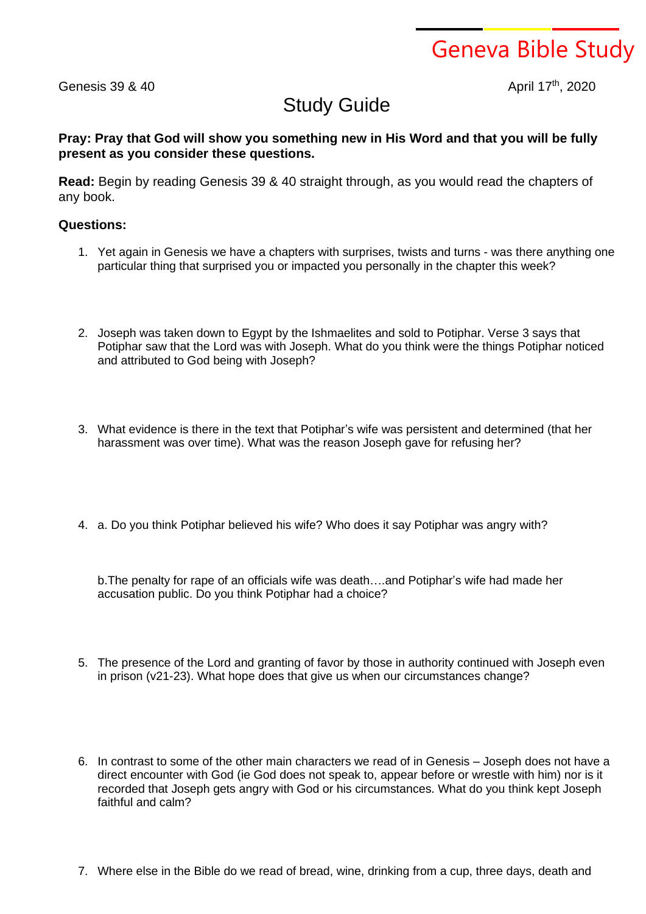Geneva Bible Study

Genesis 39 & 40

April 17th, 2020

## Study Guide

**Pray: Pray that God will show you something new in His Word and that you will be fully present as you consider these questions.**

**Read:** Begin by reading Genesis 39 & 40 straight through, as you would read the chapters of any book.

## **Questions:**

- 1. Yet again in Genesis we have a chapters with surprises, twists and turns was there anything one particular thing that surprised you or impacted you personally in the chapter this week?
- 2. Joseph was taken down to Egypt by the Ishmaelites and sold to Potiphar. Verse 3 says that Potiphar saw that the Lord was with Joseph. What do you think were the things Potiphar noticed and attributed to God being with Joseph?
- 3. What evidence is there in the text that Potiphar's wife was persistent and determined (that her harassment was over time). What was the reason Joseph gave for refusing her?
- 4. a. Do you think Potiphar believed his wife? Who does it say Potiphar was angry with?

b.The penalty for rape of an officials wife was death….and Potiphar's wife had made her accusation public. Do you think Potiphar had a choice?

- 5. The presence of the Lord and granting of favor by those in authority continued with Joseph even in prison (v21-23). What hope does that give us when our circumstances change?
- 6. In contrast to some of the other main characters we read of in Genesis Joseph does not have a direct encounter with God (ie God does not speak to, appear before or wrestle with him) nor is it recorded that Joseph gets angry with God or his circumstances. What do you think kept Joseph faithful and calm?
- 7. Where else in the Bible do we read of bread, wine, drinking from a cup, three days, death and